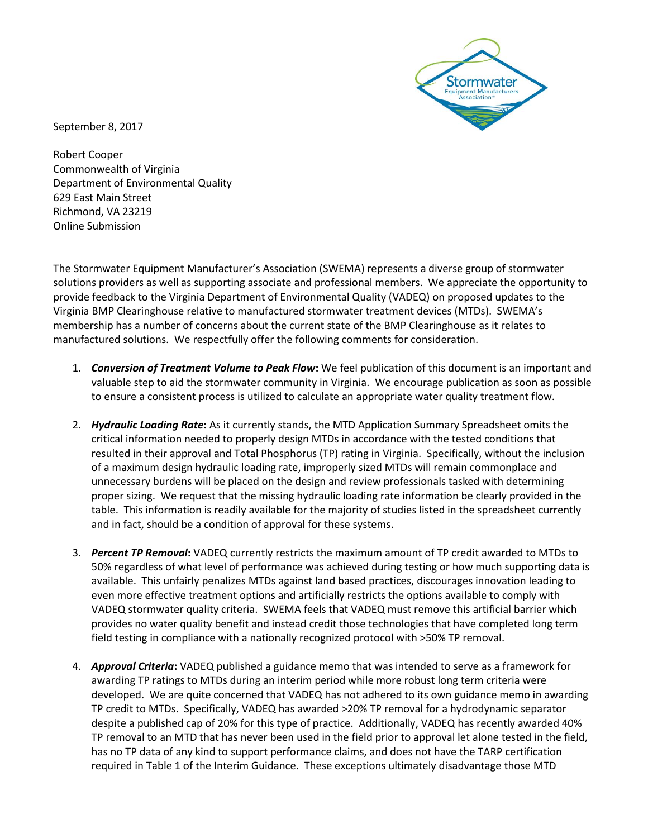

September 8, 2017

Robert Cooper Commonwealth of Virginia Department of Environmental Quality 629 East Main Street Richmond, VA 23219 Online Submission

The Stormwater Equipment Manufacturer's Association (SWEMA) represents a diverse group of stormwater solutions providers as well as supporting associate and professional members. We appreciate the opportunity to provide feedback to the Virginia Department of Environmental Quality (VADEQ) on proposed updates to the Virginia BMP Clearinghouse relative to manufactured stormwater treatment devices (MTDs). SWEMA's membership has a number of concerns about the current state of the BMP Clearinghouse as it relates to manufactured solutions. We respectfully offer the following comments for consideration.

- 1. *Conversion of Treatment Volume to Peak Flow***:** We feel publication of this document is an important and valuable step to aid the stormwater community in Virginia. We encourage publication as soon as possible to ensure a consistent process is utilized to calculate an appropriate water quality treatment flow.
- 2. *Hydraulic Loading Rate***:** As it currently stands, the MTD Application Summary Spreadsheet omits the critical information needed to properly design MTDs in accordance with the tested conditions that resulted in their approval and Total Phosphorus (TP) rating in Virginia. Specifically, without the inclusion of a maximum design hydraulic loading rate, improperly sized MTDs will remain commonplace and unnecessary burdens will be placed on the design and review professionals tasked with determining proper sizing. We request that the missing hydraulic loading rate information be clearly provided in the table. This information is readily available for the majority of studies listed in the spreadsheet currently and in fact, should be a condition of approval for these systems.
- 3. *Percent TP Removal***:** VADEQ currently restricts the maximum amount of TP credit awarded to MTDs to 50% regardless of what level of performance was achieved during testing or how much supporting data is available. This unfairly penalizes MTDs against land based practices, discourages innovation leading to even more effective treatment options and artificially restricts the options available to comply with VADEQ stormwater quality criteria. SWEMA feels that VADEQ must remove this artificial barrier which provides no water quality benefit and instead credit those technologies that have completed long term field testing in compliance with a nationally recognized protocol with >50% TP removal.
- 4. *Approval Criteria***:** VADEQ published a guidance memo that was intended to serve as a framework for awarding TP ratings to MTDs during an interim period while more robust long term criteria were developed. We are quite concerned that VADEQ has not adhered to its own guidance memo in awarding TP credit to MTDs. Specifically, VADEQ has awarded >20% TP removal for a hydrodynamic separator despite a published cap of 20% for this type of practice. Additionally, VADEQ has recently awarded 40% TP removal to an MTD that has never been used in the field prior to approval let alone tested in the field, has no TP data of any kind to support performance claims, and does not have the TARP certification required in Table 1 of the Interim Guidance. These exceptions ultimately disadvantage those MTD